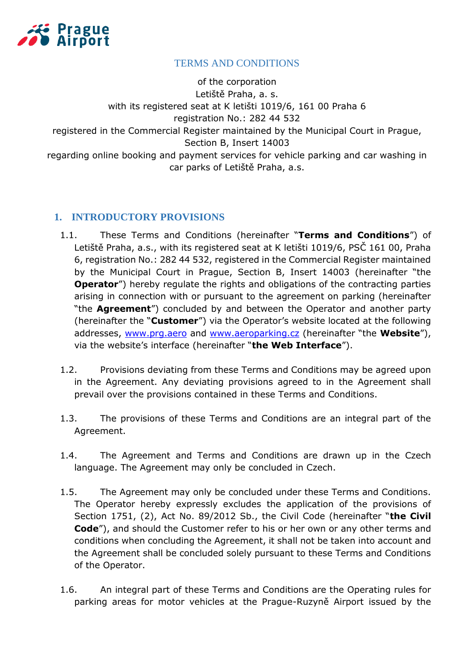

## TERMS AND CONDITIONS

of the corporation Letiště Praha, a. s. with its registered seat at K letišti 1019/6, 161 00 Praha 6 registration No.: 282 44 532 registered in the Commercial Register maintained by the Municipal Court in Prague, Section B, Insert 14003 regarding online booking and payment services for vehicle parking and car washing in car parks of Letiště Praha, a.s.

## **1. INTRODUCTORY PROVISIONS**

- 1.1. These Terms and Conditions (hereinafter "**Terms and Conditions**") of Letiště Praha, a.s., with its registered seat at K letišti 1019/6, PSČ 161 00, Praha 6, registration No.: 282 44 532, registered in the Commercial Register maintained by the Municipal Court in Prague, Section B, Insert 14003 (hereinafter "the **Operator**") hereby regulate the rights and obligations of the contracting parties arising in connection with or pursuant to the agreement on parking (hereinafter "the **Agreement**") concluded by and between the Operator and another party (hereinafter the "**Customer**") via the Operator's website located at the following addresses, [www.prg.aero](file:///C:/Users/konsela/Documents/www.prg.aero) and [www.aeroparking.cz](file:///C:/Users/konsela/Documents/www.aeroparking.cz) (hereinafter "the **Website**"), via the website's interface (hereinafter "**the Web Interface**").
- 1.2. Provisions deviating from these Terms and Conditions may be agreed upon in the Agreement. Any deviating provisions agreed to in the Agreement shall prevail over the provisions contained in these Terms and Conditions.
- 1.3. The provisions of these Terms and Conditions are an integral part of the Agreement.
- 1.4. The Agreement and Terms and Conditions are drawn up in the Czech language. The Agreement may only be concluded in Czech.
- 1.5. The Agreement may only be concluded under these Terms and Conditions. The Operator hereby expressly excludes the application of the provisions of Section 1751, (2), Act No. 89/2012 Sb., the Civil Code (hereinafter "**the Civil Code**"), and should the Customer refer to his or her own or any other terms and conditions when concluding the Agreement, it shall not be taken into account and the Agreement shall be concluded solely pursuant to these Terms and Conditions of the Operator.
- 1.6. An integral part of these Terms and Conditions are the Operating rules for parking areas for motor vehicles at the Prague-Ruzyně Airport issued by the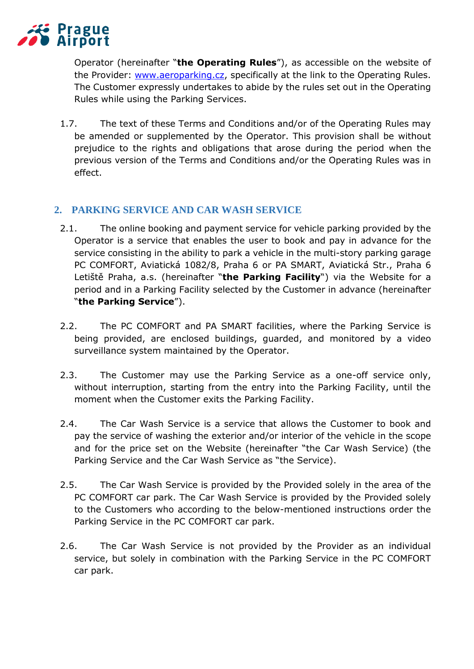

Operator (hereinafter "**the Operating Rules**"), as accessible on the website of the Provider: [www.aeroparking.cz,](http://www.aeroparking.cz/) specifically at the link to the Operating Rules. The Customer expressly undertakes to abide by the rules set out in the Operating Rules while using the Parking Services.

1.7. The text of these Terms and Conditions and/or of the Operating Rules may be amended or supplemented by the Operator. This provision shall be without prejudice to the rights and obligations that arose during the period when the previous version of the Terms and Conditions and/or the Operating Rules was in effect.

# **2. PARKING SERVICE AND CAR WASH SERVICE**

- 2.1. The online booking and payment service for vehicle parking provided by the Operator is a service that enables the user to book and pay in advance for the service consisting in the ability to park a vehicle in the multi-story parking garage PC COMFORT, Aviatická 1082/8, Praha 6 or PA SMART, Aviatická Str., Praha 6 Letiště Praha, a.s. (hereinafter "**the Parking Facility**") via the Website for a period and in a Parking Facility selected by the Customer in advance (hereinafter "**the Parking Service**").
- 2.2. The PC COMFORT and PA SMART facilities, where the Parking Service is being provided, are enclosed buildings, guarded, and monitored by a video surveillance system maintained by the Operator.
- 2.3. The Customer may use the Parking Service as a one-off service only, without interruption, starting from the entry into the Parking Facility, until the moment when the Customer exits the Parking Facility.
- 2.4. The Car Wash Service is a service that allows the Customer to book and pay the service of washing the exterior and/or interior of the vehicle in the scope and for the price set on the Website (hereinafter "the Car Wash Service) (the Parking Service and the Car Wash Service as "the Service).
- 2.5. The Car Wash Service is provided by the Provided solely in the area of the PC COMFORT car park. The Car Wash Service is provided by the Provided solely to the Customers who according to the below-mentioned instructions order the Parking Service in the PC COMFORT car park.
- 2.6. The Car Wash Service is not provided by the Provider as an individual service, but solely in combination with the Parking Service in the PC COMFORT car park.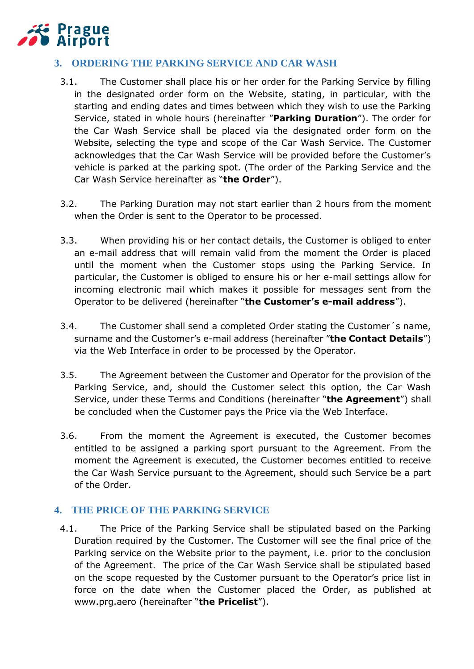

# **3. ORDERING THE PARKING SERVICE AND CAR WASH**

- 3.1. The Customer shall place his or her order for the Parking Service by filling in the designated order form on the Website, stating, in particular, with the starting and ending dates and times between which they wish to use the Parking Service, stated in whole hours (hereinafter "**Parking Duration**"). The order for the Car Wash Service shall be placed via the designated order form on the Website, selecting the type and scope of the Car Wash Service. The Customer acknowledges that the Car Wash Service will be provided before the Customer's vehicle is parked at the parking spot. (The order of the Parking Service and the Car Wash Service hereinafter as "**the Order**").
- 3.2. The Parking Duration may not start earlier than 2 hours from the moment when the Order is sent to the Operator to be processed.
- 3.3. When providing his or her contact details, the Customer is obliged to enter an e-mail address that will remain valid from the moment the Order is placed until the moment when the Customer stops using the Parking Service. In particular, the Customer is obliged to ensure his or her e-mail settings allow for incoming electronic mail which makes it possible for messages sent from the Operator to be delivered (hereinafter "**the Customer's e-mail address**").
- 3.4. The Customer shall send a completed Order stating the Customer´s name, surname and the Customer's e-mail address (hereinafter "**the Contact Details**") via the Web Interface in order to be processed by the Operator.
- 3.5. The Agreement between the Customer and Operator for the provision of the Parking Service, and, should the Customer select this option, the Car Wash Service, under these Terms and Conditions (hereinafter "**the Agreement**") shall be concluded when the Customer pays the Price via the Web Interface.
- 3.6. From the moment the Agreement is executed, the Customer becomes entitled to be assigned a parking sport pursuant to the Agreement. From the moment the Agreement is executed, the Customer becomes entitled to receive the Car Wash Service pursuant to the Agreement, should such Service be a part of the Order.

## **4. THE PRICE OF THE PARKING SERVICE**

4.1. The Price of the Parking Service shall be stipulated based on the Parking Duration required by the Customer. The Customer will see the final price of the Parking service on the Website prior to the payment, i.e. prior to the conclusion of the Agreement. The price of the Car Wash Service shall be stipulated based on the scope requested by the Customer pursuant to the Operator's price list in force on the date when the Customer placed the Order, as published at www.prg.aero (hereinafter "**the Pricelist**").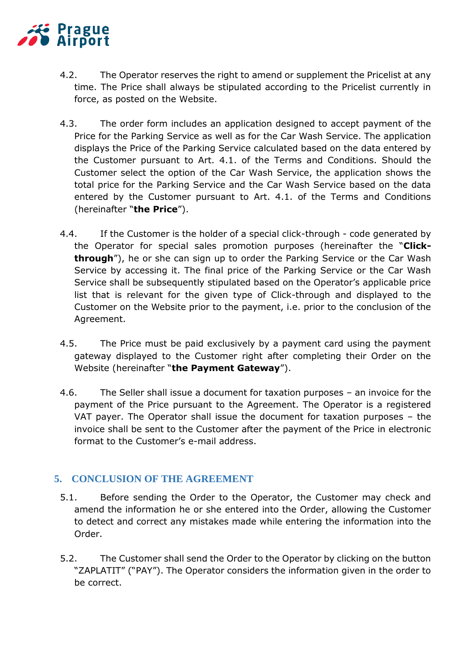

- 4.2. The Operator reserves the right to amend or supplement the Pricelist at any time. The Price shall always be stipulated according to the Pricelist currently in force, as posted on the Website.
- 4.3. The order form includes an application designed to accept payment of the Price for the Parking Service as well as for the Car Wash Service. The application displays the Price of the Parking Service calculated based on the data entered by the Customer pursuant to Art. 4.1. of the Terms and Conditions. Should the Customer select the option of the Car Wash Service, the application shows the total price for the Parking Service and the Car Wash Service based on the data entered by the Customer pursuant to Art. 4.1. of the Terms and Conditions (hereinafter "**the Price**").
- 4.4. If the Customer is the holder of a special click-through code generated by the Operator for special sales promotion purposes (hereinafter the "**Clickthrough**"), he or she can sign up to order the Parking Service or the Car Wash Service by accessing it. The final price of the Parking Service or the Car Wash Service shall be subsequently stipulated based on the Operator's applicable price list that is relevant for the given type of Click-through and displayed to the Customer on the Website prior to the payment, i.e. prior to the conclusion of the Agreement.
- 4.5. The Price must be paid exclusively by a payment card using the payment gateway displayed to the Customer right after completing their Order on the Website (hereinafter "**the Payment Gateway**").
- 4.6. The Seller shall issue a document for taxation purposes an invoice for the payment of the Price pursuant to the Agreement. The Operator is a registered VAT payer. The Operator shall issue the document for taxation purposes – the invoice shall be sent to the Customer after the payment of the Price in electronic format to the Customer's e-mail address.

#### **5. CONCLUSION OF THE AGREEMENT**

- 5.1. Before sending the Order to the Operator, the Customer may check and amend the information he or she entered into the Order, allowing the Customer to detect and correct any mistakes made while entering the information into the Order.
- 5.2. The Customer shall send the Order to the Operator by clicking on the button "ZAPLATIT" ("PAY"). The Operator considers the information given in the order to be correct.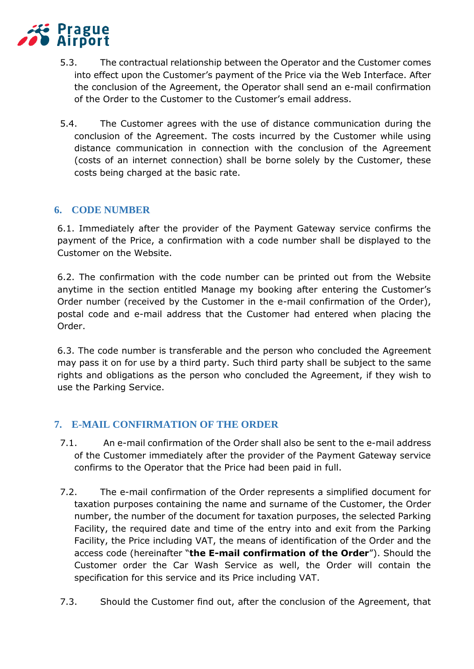

- 5.3. The contractual relationship between the Operator and the Customer comes into effect upon the Customer's payment of the Price via the Web Interface. After the conclusion of the Agreement, the Operator shall send an e-mail confirmation of the Order to the Customer to the Customer's email address.
- 5.4. The Customer agrees with the use of distance communication during the conclusion of the Agreement. The costs incurred by the Customer while using distance communication in connection with the conclusion of the Agreement (costs of an internet connection) shall be borne solely by the Customer, these costs being charged at the basic rate.

# **6. CODE NUMBER**

6.1. Immediately after the provider of the Payment Gateway service confirms the payment of the Price, a confirmation with a code number shall be displayed to the Customer on the Website.

6.2. The confirmation with the code number can be printed out from the Website anytime in the section entitled Manage my booking after entering the Customer's Order number (received by the Customer in the e-mail confirmation of the Order), postal code and e-mail address that the Customer had entered when placing the Order.

6.3. The code number is transferable and the person who concluded the Agreement may pass it on for use by a third party. Such third party shall be subject to the same rights and obligations as the person who concluded the Agreement, if they wish to use the Parking Service.

## **7. E-MAIL CONFIRMATION OF THE ORDER**

- 7.1. An e-mail confirmation of the Order shall also be sent to the e-mail address of the Customer immediately after the provider of the Payment Gateway service confirms to the Operator that the Price had been paid in full.
- 7.2. The e-mail confirmation of the Order represents a simplified document for taxation purposes containing the name and surname of the Customer, the Order number, the number of the document for taxation purposes, the selected Parking Facility, the required date and time of the entry into and exit from the Parking Facility, the Price including VAT, the means of identification of the Order and the access code (hereinafter "**the E-mail confirmation of the Order**"). Should the Customer order the Car Wash Service as well, the Order will contain the specification for this service and its Price including VAT.
- 7.3. Should the Customer find out, after the conclusion of the Agreement, that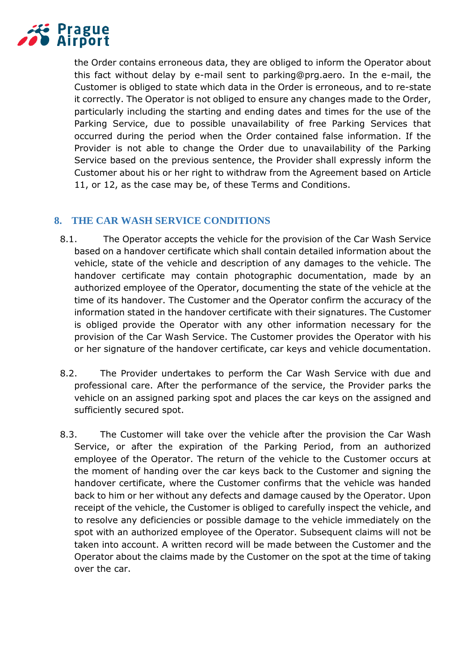

the Order contains erroneous data, they are obliged to inform the Operator about this fact without delay by e-mail sent to parking@prg.aero. In the e-mail, the Customer is obliged to state which data in the Order is erroneous, and to re-state it correctly. The Operator is not obliged to ensure any changes made to the Order, particularly including the starting and ending dates and times for the use of the Parking Service, due to possible unavailability of free Parking Services that occurred during the period when the Order contained false information. If the Provider is not able to change the Order due to unavailability of the Parking Service based on the previous sentence, the Provider shall expressly inform the Customer about his or her right to withdraw from the Agreement based on Article 11, or 12, as the case may be, of these Terms and Conditions.

## **8. THE CAR WASH SERVICE CONDITIONS**

- 8.1. The Operator accepts the vehicle for the provision of the Car Wash Service based on a handover certificate which shall contain detailed information about the vehicle, state of the vehicle and description of any damages to the vehicle. The handover certificate may contain photographic documentation, made by an authorized employee of the Operator, documenting the state of the vehicle at the time of its handover. The Customer and the Operator confirm the accuracy of the information stated in the handover certificate with their signatures. The Customer is obliged provide the Operator with any other information necessary for the provision of the Car Wash Service. The Customer provides the Operator with his or her signature of the handover certificate, car keys and vehicle documentation.
- 8.2. The Provider undertakes to perform the Car Wash Service with due and professional care. After the performance of the service, the Provider parks the vehicle on an assigned parking spot and places the car keys on the assigned and sufficiently secured spot.
- 8.3. The Customer will take over the vehicle after the provision the Car Wash Service, or after the expiration of the Parking Period, from an authorized employee of the Operator. The return of the vehicle to the Customer occurs at the moment of handing over the car keys back to the Customer and signing the handover certificate, where the Customer confirms that the vehicle was handed back to him or her without any defects and damage caused by the Operator. Upon receipt of the vehicle, the Customer is obliged to carefully inspect the vehicle, and to resolve any deficiencies or possible damage to the vehicle immediately on the spot with an authorized employee of the Operator. Subsequent claims will not be taken into account. A written record will be made between the Customer and the Operator about the claims made by the Customer on the spot at the time of taking over the car.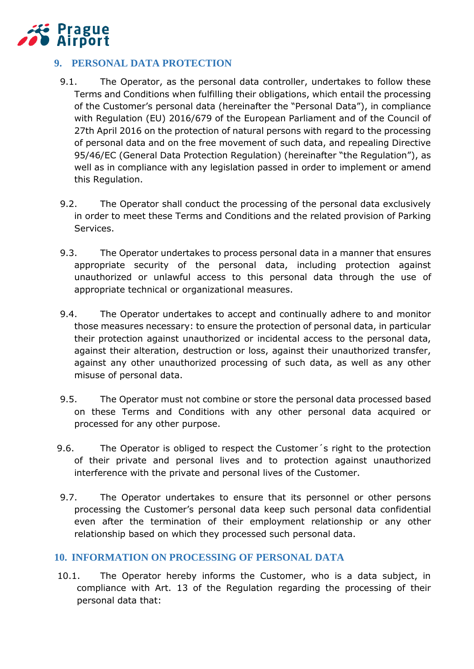

# **9. PERSONAL DATA PROTECTION**

- 9.1. The Operator, as the personal data controller, undertakes to follow these Terms and Conditions when fulfilling their obligations, which entail the processing of the Customer's personal data (hereinafter the "Personal Data"), in compliance with Regulation (EU) 2016/679 of the European Parliament and of the Council of 27th April 2016 on the protection of natural persons with regard to the processing of personal data and on the free movement of such data, and repealing Directive 95/46/EC (General Data Protection Regulation) (hereinafter "the Regulation"), as well as in compliance with any legislation passed in order to implement or amend this Regulation.
- 9.2. The Operator shall conduct the processing of the personal data exclusively in order to meet these Terms and Conditions and the related provision of Parking Services.
- 9.3. The Operator undertakes to process personal data in a manner that ensures appropriate security of the personal data, including protection against unauthorized or unlawful access to this personal data through the use of appropriate technical or organizational measures.
- 9.4. The Operator undertakes to accept and continually adhere to and monitor those measures necessary: to ensure the protection of personal data, in particular their protection against unauthorized or incidental access to the personal data, against their alteration, destruction or loss, against their unauthorized transfer, against any other unauthorized processing of such data, as well as any other misuse of personal data.
- 9.5. The Operator must not combine or store the personal data processed based on these Terms and Conditions with any other personal data acquired or processed for any other purpose.
- 9.6. The Operator is obliged to respect the Customer´s right to the protection of their private and personal lives and to protection against unauthorized interference with the private and personal lives of the Customer.
- 9.7. The Operator undertakes to ensure that its personnel or other persons processing the Customer's personal data keep such personal data confidential even after the termination of their employment relationship or any other relationship based on which they processed such personal data.

## **10. INFORMATION ON PROCESSING OF PERSONAL DATA**

10.1. The Operator hereby informs the Customer, who is a data subject, in compliance with Art. 13 of the Regulation regarding the processing of their personal data that: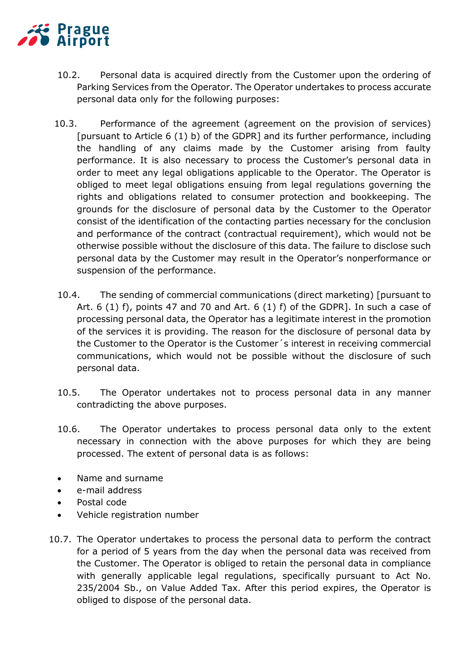

- 10.2. Personal data is acquired directly from the Customer upon the ordering of Parking Services from the Operator. The Operator undertakes to process accurate personal data only for the following purposes:
- 10.3. Performance of the agreement (agreement on the provision of services) [pursuant to Article 6 (1) b) of the GDPR] and its further performance, including the handling of any claims made by the Customer arising from faulty performance. It is also necessary to process the Customer's personal data in order to meet any legal obligations applicable to the Operator. The Operator is obliged to meet legal obligations ensuing from legal regulations governing the rights and obligations related to consumer protection and bookkeeping. The grounds for the disclosure of personal data by the Customer to the Operator consist of the identification of the contacting parties necessary for the conclusion and performance of the contract (contractual requirement), which would not be otherwise possible without the disclosure of this data. The failure to disclose such personal data by the Customer may result in the Operator's nonperformance or suspension of the performance.
- 10.4. The sending of commercial communications (direct marketing) [pursuant to Art.  $6$  (1) f), points 47 and 70 and Art.  $6$  (1) f) of the GDPR]. In such a case of processing personal data, the Operator has a legitimate interest in the promotion of the services it is providing. The reason for the disclosure of personal data by the Customer to the Operator is the Customer´s interest in receiving commercial communications, which would not be possible without the disclosure of such personal data.
- 10.5. The Operator undertakes not to process personal data in any manner contradicting the above purposes.
- 10.6. The Operator undertakes to process personal data only to the extent necessary in connection with the above purposes for which they are being processed. The extent of personal data is as follows:
- Name and surname
- e-mail address
- Postal code
- Vehicle registration number
- 10.7. The Operator undertakes to process the personal data to perform the contract for a period of 5 years from the day when the personal data was received from the Customer. The Operator is obliged to retain the personal data in compliance with generally applicable legal regulations, specifically pursuant to Act No. 235/2004 Sb., on Value Added Tax. After this period expires, the Operator is obliged to dispose of the personal data.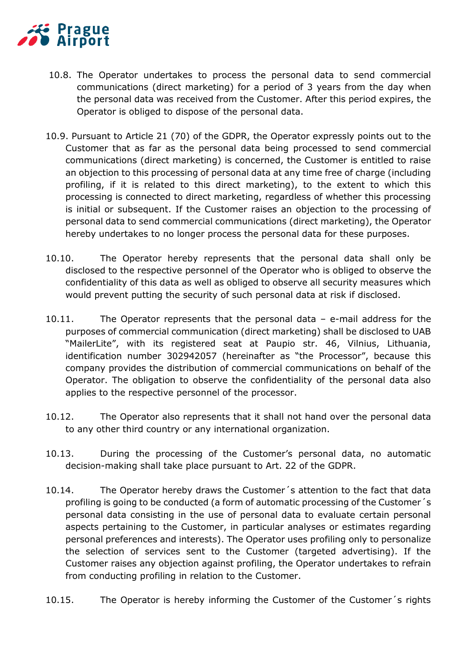# **Prague** Airport

- 10.8. The Operator undertakes to process the personal data to send commercial communications (direct marketing) for a period of 3 years from the day when the personal data was received from the Customer. After this period expires, the Operator is obliged to dispose of the personal data.
- 10.9. Pursuant to Article 21 (70) of the GDPR, the Operator expressly points out to the Customer that as far as the personal data being processed to send commercial communications (direct marketing) is concerned, the Customer is entitled to raise an objection to this processing of personal data at any time free of charge (including profiling, if it is related to this direct marketing), to the extent to which this processing is connected to direct marketing, regardless of whether this processing is initial or subsequent. If the Customer raises an objection to the processing of personal data to send commercial communications (direct marketing), the Operator hereby undertakes to no longer process the personal data for these purposes.
- 10.10. The Operator hereby represents that the personal data shall only be disclosed to the respective personnel of the Operator who is obliged to observe the confidentiality of this data as well as obliged to observe all security measures which would prevent putting the security of such personal data at risk if disclosed.
- 10.11. The Operator represents that the personal data e-mail address for the purposes of commercial communication (direct marketing) shall be disclosed to UAB "MailerLite", with its registered seat at Paupio str. 46, Vilnius, Lithuania, identification number 302942057 (hereinafter as "the Processor", because this company provides the distribution of commercial communications on behalf of the Operator. The obligation to observe the confidentiality of the personal data also applies to the respective personnel of the processor.
- 10.12. The Operator also represents that it shall not hand over the personal data to any other third country or any international organization.
- 10.13. During the processing of the Customer's personal data, no automatic decision-making shall take place pursuant to Art. 22 of the GDPR.
- 10.14. The Operator hereby draws the Customer´s attention to the fact that data profiling is going to be conducted (a form of automatic processing of the Customer´s personal data consisting in the use of personal data to evaluate certain personal aspects pertaining to the Customer, in particular analyses or estimates regarding personal preferences and interests). The Operator uses profiling only to personalize the selection of services sent to the Customer (targeted advertising). If the Customer raises any objection against profiling, the Operator undertakes to refrain from conducting profiling in relation to the Customer.
- 10.15. The Operator is hereby informing the Customer of the Customer´s rights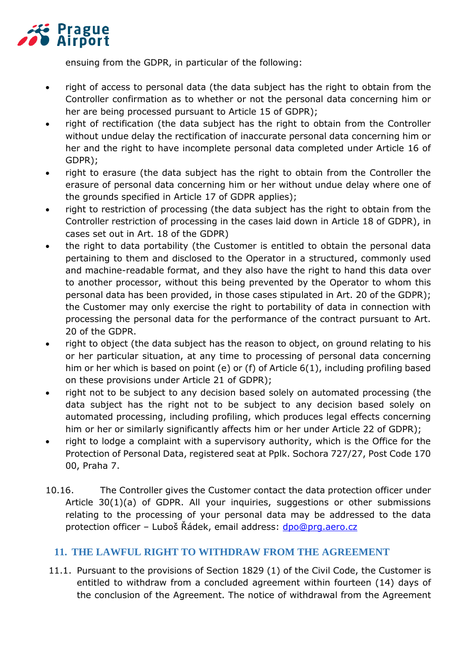

ensuing from the GDPR, in particular of the following:

- right of access to personal data (the data subject has the right to obtain from the Controller confirmation as to whether or not the personal data concerning him or her are being processed pursuant to Article 15 of GDPR);
- right of rectification (the data subject has the right to obtain from the Controller without undue delay the rectification of inaccurate personal data concerning him or her and the right to have incomplete personal data completed under Article 16 of GDPR);
- right to erasure (the data subject has the right to obtain from the Controller the erasure of personal data concerning him or her without undue delay where one of the grounds specified in Article 17 of GDPR applies);
- right to restriction of processing (the data subject has the right to obtain from the Controller restriction of processing in the cases laid down in Article 18 of GDPR), in cases set out in Art. 18 of the GDPR)
- the right to data portability (the Customer is entitled to obtain the personal data pertaining to them and disclosed to the Operator in a structured, commonly used and machine-readable format, and they also have the right to hand this data over to another processor, without this being prevented by the Operator to whom this personal data has been provided, in those cases stipulated in Art. 20 of the GDPR); the Customer may only exercise the right to portability of data in connection with processing the personal data for the performance of the contract pursuant to Art. 20 of the GDPR.
- right to object (the data subject has the reason to object, on ground relating to his or her particular situation, at any time to processing of personal data concerning him or her which is based on point (e) or (f) of Article 6(1), including profiling based on these provisions under Article 21 of GDPR);
- right not to be subject to any decision based solely on automated processing (the data subject has the right not to be subject to any decision based solely on automated processing, including profiling, which produces legal effects concerning him or her or similarly significantly affects him or her under Article 22 of GDPR);
- right to lodge a complaint with a supervisory authority, which is the Office for the Protection of Personal Data, registered seat at Pplk. Sochora 727/27, Post Code 170 00, Praha 7.
- 10.16. The Controller gives the Customer contact the data protection officer under Article 30(1)(a) of GDPR. All your inquiries, suggestions or other submissions relating to the processing of your personal data may be addressed to the data protection officer – Luboš Řádek, email address: [dpo@prg.aero.cz](file:///C:/Users/konsela/Documents/dpo@prg.aero.cz)

## **11. THE LAWFUL RIGHT TO WITHDRAW FROM THE AGREEMENT**

11.1. Pursuant to the provisions of Section 1829 (1) of the Civil Code, the Customer is entitled to withdraw from a concluded agreement within fourteen (14) days of the conclusion of the Agreement. The notice of withdrawal from the Agreement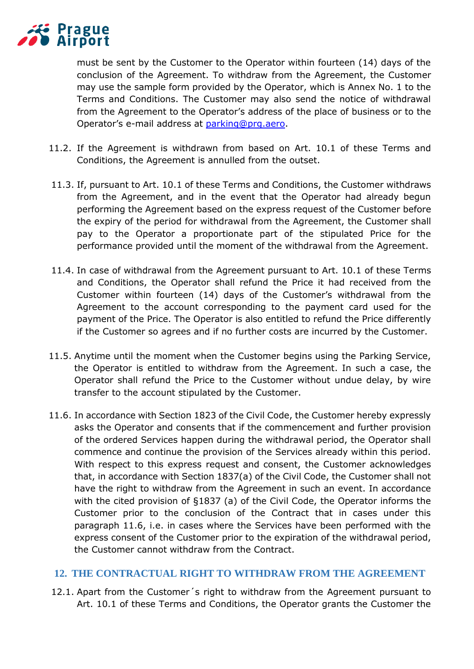

must be sent by the Customer to the Operator within fourteen (14) days of the conclusion of the Agreement. To withdraw from the Agreement, the Customer may use the sample form provided by the Operator, which is Annex No. 1 to the Terms and Conditions. The Customer may also send the notice of withdrawal from the Agreement to the Operator's address of the place of business or to the Operator's e-mail address at [parking@prg.aero.](mailto:parking@prg.aero)

- 11.2. If the Agreement is withdrawn from based on Art. 10.1 of these Terms and Conditions, the Agreement is annulled from the outset.
- 11.3. If, pursuant to Art. 10.1 of these Terms and Conditions, the Customer withdraws from the Agreement, and in the event that the Operator had already begun performing the Agreement based on the express request of the Customer before the expiry of the period for withdrawal from the Agreement, the Customer shall pay to the Operator a proportionate part of the stipulated Price for the performance provided until the moment of the withdrawal from the Agreement.
- 11.4. In case of withdrawal from the Agreement pursuant to Art. 10.1 of these Terms and Conditions, the Operator shall refund the Price it had received from the Customer within fourteen (14) days of the Customer's withdrawal from the Agreement to the account corresponding to the payment card used for the payment of the Price. The Operator is also entitled to refund the Price differently if the Customer so agrees and if no further costs are incurred by the Customer.
- 11.5. Anytime until the moment when the Customer begins using the Parking Service, the Operator is entitled to withdraw from the Agreement. In such a case, the Operator shall refund the Price to the Customer without undue delay, by wire transfer to the account stipulated by the Customer.
- 11.6. In accordance with Section 1823 of the Civil Code, the Customer hereby expressly asks the Operator and consents that if the commencement and further provision of the ordered Services happen during the withdrawal period, the Operator shall commence and continue the provision of the Services already within this period. With respect to this express request and consent, the Customer acknowledges that, in accordance with Section 1837(a) of the Civil Code, the Customer shall not have the right to withdraw from the Agreement in such an event. In accordance with the cited provision of §1837 (a) of the Civil Code, the Operator informs the Customer prior to the conclusion of the Contract that in cases under this paragraph 11.6, i.e. in cases where the Services have been performed with the express consent of the Customer prior to the expiration of the withdrawal period, the Customer cannot withdraw from the Contract.

#### **12. THE CONTRACTUAL RIGHT TO WITHDRAW FROM THE AGREEMENT**

12.1. Apart from the Customer´s right to withdraw from the Agreement pursuant to Art. 10.1 of these Terms and Conditions, the Operator grants the Customer the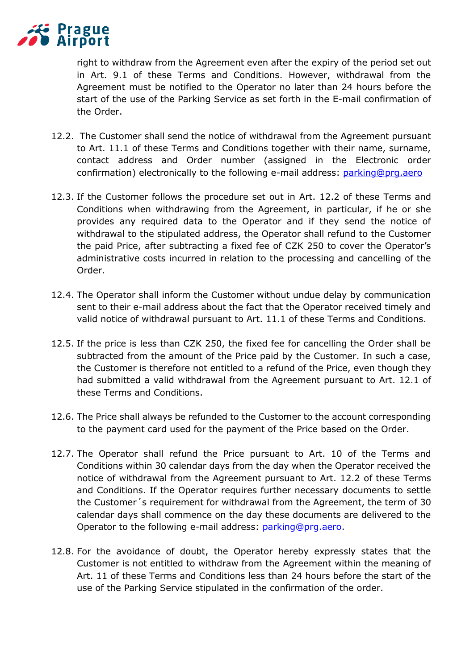

right to withdraw from the Agreement even after the expiry of the period set out in Art. 9.1 of these Terms and Conditions. However, withdrawal from the Agreement must be notified to the Operator no later than 24 hours before the start of the use of the Parking Service as set forth in the E-mail confirmation of the Order.

- 12.2. The Customer shall send the notice of withdrawal from the Agreement pursuant to Art. 11.1 of these Terms and Conditions together with their name, surname, contact address and Order number (assigned in the Electronic order confirmation) electronically to the following e-mail address: [parking@prg.aero](file:///C:/Users/konsela/Documents/parking@prg.aero)
- 12.3. If the Customer follows the procedure set out in Art. 12.2 of these Terms and Conditions when withdrawing from the Agreement, in particular, if he or she provides any required data to the Operator and if they send the notice of withdrawal to the stipulated address, the Operator shall refund to the Customer the paid Price, after subtracting a fixed fee of CZK 250 to cover the Operator's administrative costs incurred in relation to the processing and cancelling of the Order.
- 12.4. The Operator shall inform the Customer without undue delay by communication sent to their e-mail address about the fact that the Operator received timely and valid notice of withdrawal pursuant to Art. 11.1 of these Terms and Conditions.
- 12.5. If the price is less than CZK 250, the fixed fee for cancelling the Order shall be subtracted from the amount of the Price paid by the Customer. In such a case, the Customer is therefore not entitled to a refund of the Price, even though they had submitted a valid withdrawal from the Agreement pursuant to Art. 12.1 of these Terms and Conditions.
- 12.6. The Price shall always be refunded to the Customer to the account corresponding to the payment card used for the payment of the Price based on the Order.
- 12.7. The Operator shall refund the Price pursuant to Art. 10 of the Terms and Conditions within 30 calendar days from the day when the Operator received the notice of withdrawal from the Agreement pursuant to Art. 12.2 of these Terms and Conditions. If the Operator requires further necessary documents to settle the Customer´s requirement for withdrawal from the Agreement, the term of 30 calendar days shall commence on the day these documents are delivered to the Operator to the following e-mail address: [parking@prg.aero.](file:///C:/Users/konsela/Documents/parking@prg.aero)
- 12.8. For the avoidance of doubt, the Operator hereby expressly states that the Customer is not entitled to withdraw from the Agreement within the meaning of Art. 11 of these Terms and Conditions less than 24 hours before the start of the use of the Parking Service stipulated in the confirmation of the order.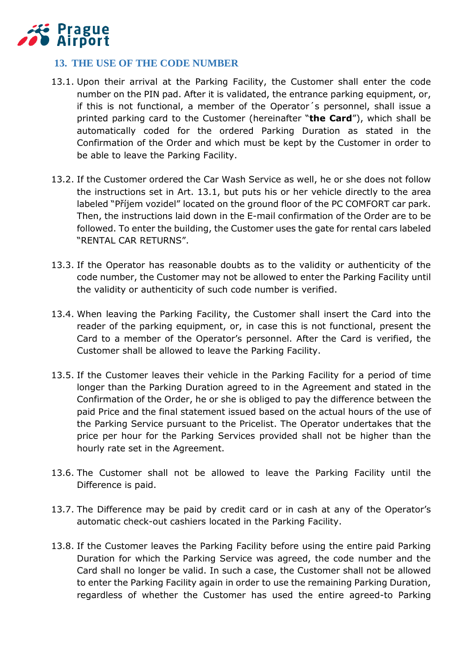

# **13. THE USE OF THE CODE NUMBER**

- 13.1. Upon their arrival at the Parking Facility, the Customer shall enter the code number on the PIN pad. After it is validated, the entrance parking equipment, or, if this is not functional, a member of the Operator´s personnel, shall issue a printed parking card to the Customer (hereinafter "**the Card**"), which shall be automatically coded for the ordered Parking Duration as stated in the Confirmation of the Order and which must be kept by the Customer in order to be able to leave the Parking Facility.
- 13.2. If the Customer ordered the Car Wash Service as well, he or she does not follow the instructions set in Art. 13.1, but puts his or her vehicle directly to the area labeled "Příjem vozidel" located on the ground floor of the PC COMFORT car park. Then, the instructions laid down in the E-mail confirmation of the Order are to be followed. To enter the building, the Customer uses the gate for rental cars labeled "RENTAL CAR RETURNS".
- 13.3. If the Operator has reasonable doubts as to the validity or authenticity of the code number, the Customer may not be allowed to enter the Parking Facility until the validity or authenticity of such code number is verified.
- 13.4. When leaving the Parking Facility, the Customer shall insert the Card into the reader of the parking equipment, or, in case this is not functional, present the Card to a member of the Operator's personnel. After the Card is verified, the Customer shall be allowed to leave the Parking Facility.
- 13.5. If the Customer leaves their vehicle in the Parking Facility for a period of time longer than the Parking Duration agreed to in the Agreement and stated in the Confirmation of the Order, he or she is obliged to pay the difference between the paid Price and the final statement issued based on the actual hours of the use of the Parking Service pursuant to the Pricelist. The Operator undertakes that the price per hour for the Parking Services provided shall not be higher than the hourly rate set in the Agreement.
- 13.6. The Customer shall not be allowed to leave the Parking Facility until the Difference is paid.
- 13.7. The Difference may be paid by credit card or in cash at any of the Operator's automatic check-out cashiers located in the Parking Facility.
- 13.8. If the Customer leaves the Parking Facility before using the entire paid Parking Duration for which the Parking Service was agreed, the code number and the Card shall no longer be valid. In such a case, the Customer shall not be allowed to enter the Parking Facility again in order to use the remaining Parking Duration, regardless of whether the Customer has used the entire agreed-to Parking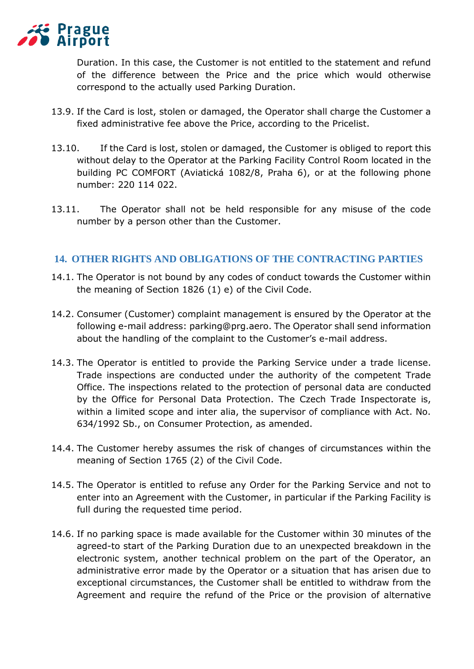

Duration. In this case, the Customer is not entitled to the statement and refund of the difference between the Price and the price which would otherwise correspond to the actually used Parking Duration.

- 13.9. If the Card is lost, stolen or damaged, the Operator shall charge the Customer a fixed administrative fee above the Price, according to the Pricelist.
- 13.10. If the Card is lost, stolen or damaged, the Customer is obliged to report this without delay to the Operator at the Parking Facility Control Room located in the building PC COMFORT (Aviatická 1082/8, Praha 6), or at the following phone number: 220 114 022.
- 13.11. The Operator shall not be held responsible for any misuse of the code number by a person other than the Customer.

#### **14. OTHER RIGHTS AND OBLIGATIONS OF THE CONTRACTING PARTIES**

- 14.1. The Operator is not bound by any codes of conduct towards the Customer within the meaning of Section 1826 (1) e) of the Civil Code.
- 14.2. Consumer (Customer) complaint management is ensured by the Operator at the following e-mail address: parking@prg.aero. The Operator shall send information about the handling of the complaint to the Customer's e-mail address.
- 14.3. The Operator is entitled to provide the Parking Service under a trade license. Trade inspections are conducted under the authority of the competent Trade Office. The inspections related to the protection of personal data are conducted by the Office for Personal Data Protection. The Czech Trade Inspectorate is, within a limited scope and inter alia, the supervisor of compliance with Act. No. 634/1992 Sb., on Consumer Protection, as amended.
- 14.4. The Customer hereby assumes the risk of changes of circumstances within the meaning of Section 1765 (2) of the Civil Code.
- 14.5. The Operator is entitled to refuse any Order for the Parking Service and not to enter into an Agreement with the Customer, in particular if the Parking Facility is full during the requested time period.
- 14.6. If no parking space is made available for the Customer within 30 minutes of the agreed-to start of the Parking Duration due to an unexpected breakdown in the electronic system, another technical problem on the part of the Operator, an administrative error made by the Operator or a situation that has arisen due to exceptional circumstances, the Customer shall be entitled to withdraw from the Agreement and require the refund of the Price or the provision of alternative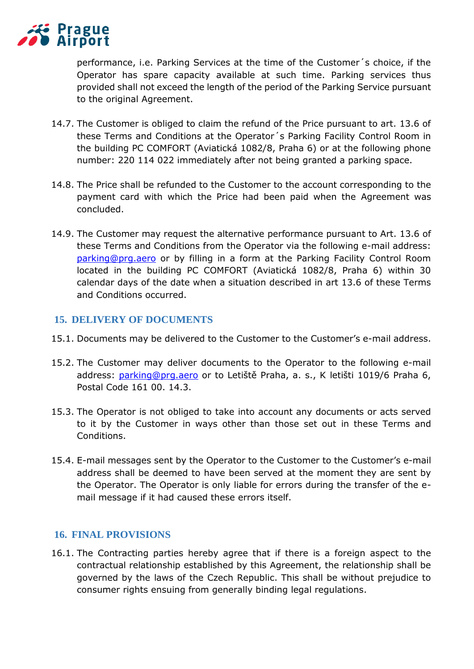

performance, i.e. Parking Services at the time of the Customer´s choice, if the Operator has spare capacity available at such time. Parking services thus provided shall not exceed the length of the period of the Parking Service pursuant to the original Agreement.

- 14.7. The Customer is obliged to claim the refund of the Price pursuant to art. 13.6 of these Terms and Conditions at the Operator´s Parking Facility Control Room in the building PC COMFORT (Aviatická 1082/8, Praha 6) or at the following phone number: 220 114 022 immediately after not being granted a parking space.
- 14.8. The Price shall be refunded to the Customer to the account corresponding to the payment card with which the Price had been paid when the Agreement was concluded.
- 14.9. The Customer may request the alternative performance pursuant to Art. 13.6 of these Terms and Conditions from the Operator via the following e-mail address: [parking@prg.aero](file:///C:/Users/konsela/Documents/parking@prg.aero) or by filling in a form at the Parking Facility Control Room located in the building PC COMFORT (Aviatická 1082/8, Praha 6) within 30 calendar days of the date when a situation described in art 13.6 of these Terms and Conditions occurred.

#### **15. DELIVERY OF DOCUMENTS**

- 15.1. Documents may be delivered to the Customer to the Customer's e-mail address.
- 15.2. The Customer may deliver documents to the Operator to the following e-mail address: [parking@prg.aero](file:///C:/Users/konsela/Documents/parking@prg.aero) or to Letiště Praha, a. s., K letišti 1019/6 Praha 6, Postal Code 161 00. 14.3.
- 15.3. The Operator is not obliged to take into account any documents or acts served to it by the Customer in ways other than those set out in these Terms and Conditions.
- 15.4. E-mail messages sent by the Operator to the Customer to the Customer's e-mail address shall be deemed to have been served at the moment they are sent by the Operator. The Operator is only liable for errors during the transfer of the email message if it had caused these errors itself.

## **16. FINAL PROVISIONS**

16.1. The Contracting parties hereby agree that if there is a foreign aspect to the contractual relationship established by this Agreement, the relationship shall be governed by the laws of the Czech Republic. This shall be without prejudice to consumer rights ensuing from generally binding legal regulations.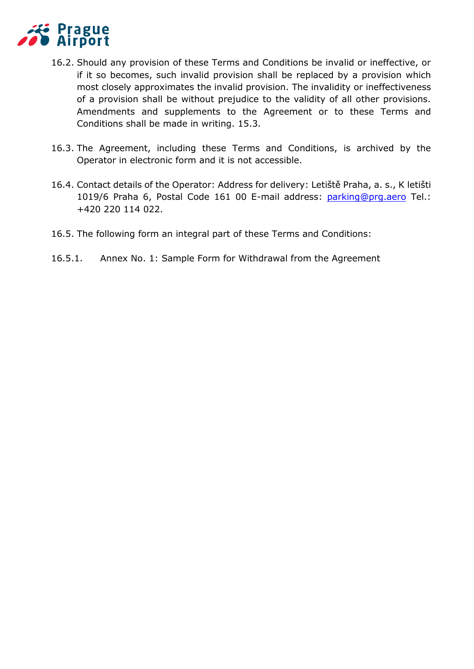

- 16.2. Should any provision of these Terms and Conditions be invalid or ineffective, or if it so becomes, such invalid provision shall be replaced by a provision which most closely approximates the invalid provision. The invalidity or ineffectiveness of a provision shall be without prejudice to the validity of all other provisions. Amendments and supplements to the Agreement or to these Terms and Conditions shall be made in writing. 15.3.
- 16.3. The Agreement, including these Terms and Conditions, is archived by the Operator in electronic form and it is not accessible.
- 16.4. Contact details of the Operator: Address for delivery: Letiště Praha, a. s., K letišti 1019/6 Praha 6, Postal Code 161 00 E-mail address: [parking@prg.aero](file:///C:/Users/konsela/Documents/parking@prg.aero) Tel.: +420 220 114 022.
- 16.5. The following form an integral part of these Terms and Conditions:
- 16.5.1. Annex No. 1: Sample Form for Withdrawal from the Agreement